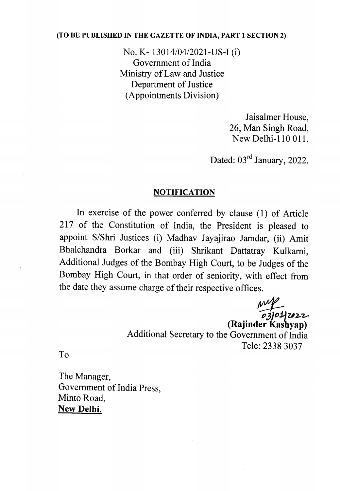## (TO BE PUBLISHED IN THE GAZETTE OF INDIA, PART 1 SECTION 2)

No. K- 13014/04/2021-US-I (i) Government of India Ministry of Law and Justice Department of Justice (Appointments Division)

> Jaisalmer House, 26, Man Singh Road, New Delhi-110 OIl.

Dated: 03<sup>rd</sup> January, 2022.

## **NOTIFICATION**

In exercise of the power conferred by clause (1) of Article 217 of the Constitution of India, the President is pleased to appoint S/Shri Justices (i) Madhav Jayajirao Jamdar, (ii) Amit Bhalchandra Borkar and (iii) Shrikant Dattatray Kulkarni, Additional Judges of the Bombay High Court, to be Judges of the Bombay High Court, in that order of seniority, with effect from the date they assume charge of their respective offices.

s.<br>*ps*/01/2022. (Rajinder Kashyap) Additional Secretary to the Government of India Tele: 2338 3037

To

The Manager, Government of India Press, Minto Road, New Delhi.